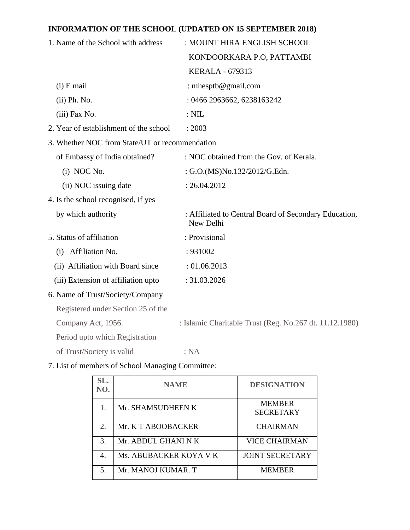## **INFORMATION OF THE SCHOOL (UPDATED ON 15 SEPTEMBER 2018)**

| 1. Name of the School with address             | : MOUNT HIRA ENGLISH SCHOOL                                        |  |  |
|------------------------------------------------|--------------------------------------------------------------------|--|--|
|                                                | KONDOORKARA P.O, PATTAMBI                                          |  |  |
|                                                | <b>KERALA - 679313</b>                                             |  |  |
| $(i)$ E mail                                   | : mhesptb@gmail.com                                                |  |  |
| (ii) Ph. No.                                   | : 0466 2963662, 6238163242                                         |  |  |
| (iii) Fax No.                                  | $:$ NIL                                                            |  |  |
| 2. Year of establishment of the school         | : 2003                                                             |  |  |
| 3. Whether NOC from State/UT or recommendation |                                                                    |  |  |
| of Embassy of India obtained?                  | : NOC obtained from the Gov. of Kerala.                            |  |  |
| (i) NOC No.                                    | : G.O.(MS)No.132/2012/G.Edn.                                       |  |  |
| (ii) NOC issuing date                          | : 26.04.2012                                                       |  |  |
| 4. Is the school recognised, if yes            |                                                                    |  |  |
| by which authority                             | : Affiliated to Central Board of Secondary Education,<br>New Delhi |  |  |
| 5. Status of affiliation                       | : Provisional                                                      |  |  |
| (i) Affiliation No.                            | : 931002                                                           |  |  |
| (ii) Affiliation with Board since              | : 01.06.2013                                                       |  |  |
| (iii) Extension of affiliation upto            | : 31.03.2026                                                       |  |  |
| 6. Name of Trust/Society/Company               |                                                                    |  |  |
| Registered under Section 25 of the             |                                                                    |  |  |
| Company Act, 1956.                             | : Islamic Charitable Trust (Reg. No.267 dt. 11.12.1980)            |  |  |
| Period upto which Registration                 |                                                                    |  |  |
| of Trust/Society is valid                      | : NA                                                               |  |  |

# 7. List of members of School Managing Committee:

| SL.<br>NO.             | <b>NAME</b>            | <b>DESIGNATION</b>                |
|------------------------|------------------------|-----------------------------------|
|                        | Mr. SHAMSUDHEEN K      | <b>MEMBER</b><br><b>SECRETARY</b> |
| $\mathcal{D}_{\alpha}$ | Mr. K T ABOOBACKER     | <b>CHAIRMAN</b>                   |
| 3.                     | Mr. ABDUL GHANI N K    | <b>VICE CHAIRMAN</b>              |
| 4.                     | Ms. ABUBACKER KOYA V K | <b>JOINT SECRETARY</b>            |
| 5.                     | Mr. MANOJ KUMAR. T     | <b>MEMBER</b>                     |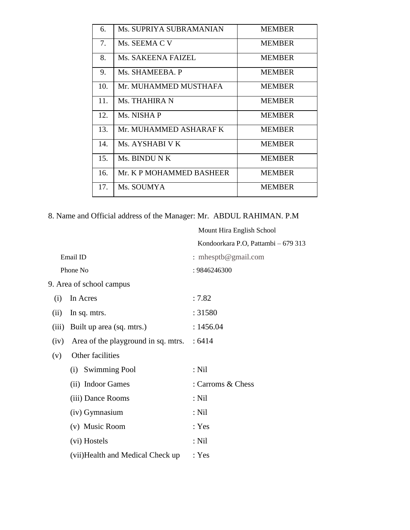| 6.  | Ms. SUPRIYA SUBRAMANIAN  | <b>MEMBER</b> |
|-----|--------------------------|---------------|
| 7.  | Ms. SEEMA C V            | <b>MEMBER</b> |
| 8.  | Ms. SAKEENA FAIZEL       | <b>MEMBER</b> |
| 9.  | Ms. SHAMEEBA. P          | <b>MEMBER</b> |
| 10. | Mr. MUHAMMED MUSTHAFA    | <b>MEMBER</b> |
| 11. | Ms. THAHIRA N            | <b>MEMBER</b> |
| 12. | Ms. NISHA P              | <b>MEMBER</b> |
| 13. | Mr. MUHAMMED ASHARAF K   | <b>MEMBER</b> |
| 14. | Ms. AYSHABI V K          | <b>MEMBER</b> |
| 15. | Ms. BINDU N K            | <b>MEMBER</b> |
| 16. | Mr. K P MOHAMMED BASHEER | <b>MEMBER</b> |
| 17. | Ms. SOUMYA               | <b>MEMBER</b> |

Mount Hira English School

8. Name and Official address of the Manager: Mr. ABDUL RAHIMAN. P.M

|       |                                     | Kondoorkara P.O, Pattambi - 679 313 |
|-------|-------------------------------------|-------------------------------------|
|       | Email ID                            | : mhesptb@gmail.com                 |
|       | Phone No                            | : 9846246300                        |
|       | 9. Area of school campus            |                                     |
| (i)   | In Acres                            | :7.82                               |
| (ii)  | In sq. mtrs.                        | : 31580                             |
| (iii) | Built up area (sq. mtrs.)           | : 1456.04                           |
| (iv)  | Area of the playground in sq. mtrs. | :6414                               |
| (v)   | Other facilities                    |                                     |
|       | (i) Swimming Pool                   | : Nil                               |
|       | (ii) Indoor Games                   | : Carroms & Chess                   |
|       | (iii) Dance Rooms                   | : Nil                               |
|       | (iv) Gymnasium                      | : Nil                               |
|       | (v) Music Room                      | : Yes                               |
|       | (vi) Hostels                        | $:$ Nil                             |
|       | (vii) Health and Medical Check up   | : Yes                               |
|       |                                     |                                     |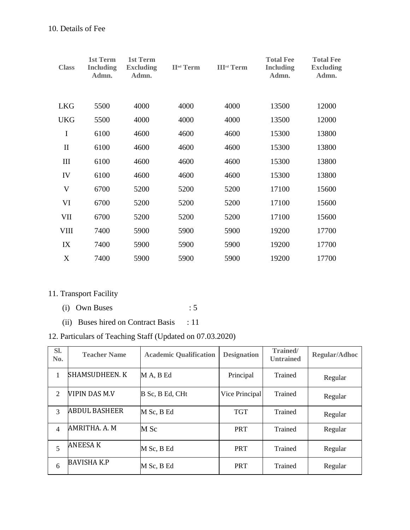| <b>Class</b>              | 1st Term<br><b>Including</b><br>Admn. | <b>1st Term</b><br><b>Excluding</b><br>Admn. | <b>II<sup>nd</sup></b> Term | <b>III<sup>rd</sup></b> Term | <b>Total Fee</b><br><b>Including</b><br>Admn. | <b>Total Fee</b><br><b>Excluding</b><br>Admn. |
|---------------------------|---------------------------------------|----------------------------------------------|-----------------------------|------------------------------|-----------------------------------------------|-----------------------------------------------|
| <b>LKG</b>                | 5500                                  | 4000                                         | 4000                        | 4000                         | 13500                                         | 12000                                         |
|                           |                                       |                                              |                             |                              |                                               |                                               |
| <b>UKG</b>                | 5500                                  | 4000                                         | 4000                        | 4000                         | 13500                                         | 12000                                         |
| $\bf I$                   | 6100                                  | 4600                                         | 4600                        | 4600                         | 15300                                         | 13800                                         |
| $\mathbf{I}$              | 6100                                  | 4600                                         | 4600                        | 4600                         | 15300                                         | 13800                                         |
| III                       | 6100                                  | 4600                                         | 4600                        | 4600                         | 15300                                         | 13800                                         |
| IV                        | 6100                                  | 4600                                         | 4600                        | 4600                         | 15300                                         | 13800                                         |
| $\mathbf V$               | 6700                                  | 5200                                         | 5200                        | 5200                         | 17100                                         | 15600                                         |
| VI                        | 6700                                  | 5200                                         | 5200                        | 5200                         | 17100                                         | 15600                                         |
| VII                       | 6700                                  | 5200                                         | 5200                        | 5200                         | 17100                                         | 15600                                         |
| VIII                      | 7400                                  | 5900                                         | 5900                        | 5900                         | 19200                                         | 17700                                         |
| IX                        | 7400                                  | 5900                                         | 5900                        | 5900                         | 19200                                         | 17700                                         |
| $\boldsymbol{\mathrm{X}}$ | 7400                                  | 5900                                         | 5900                        | 5900                         | 19200                                         | 17700                                         |

# 11. Transport Facility

- (i) Own Buses :  $5$
- (ii) Buses hired on Contract Basis : 11

# 12. Particulars of Teaching Staff (Updated on 07.03.2020)

| SI.<br>No.     | <b>Teacher Name</b>   | <b>Academic Qualification</b> | <b>Designation</b> | Trained/<br><b>Untrained</b> | <b>Regular/Adhoc</b> |
|----------------|-----------------------|-------------------------------|--------------------|------------------------------|----------------------|
| 1              | <b>SHAMSUDHEEN. K</b> | M A, B Ed                     | Principal          | Trained                      | Regular              |
| 2              | VIPIN DAS M.V         | B Sc, B Ed, CHt               | Vice Principal     | Trained                      | Regular              |
| 3              | <b>ABDUL BASHEER</b>  | M Sc, B Ed                    | <b>TGT</b>         | Trained                      | Regular              |
| $\overline{4}$ | AMRITHA. A. M         | M Sc                          | <b>PRT</b>         | Trained                      | Regular              |
| 5              | <b>ANEESAK</b>        | M Sc, B Ed                    | <b>PRT</b>         | Trained                      | Regular              |
| 6              | <b>BAVISHA K.P</b>    | M Sc, B Ed                    | <b>PRT</b>         | Trained                      | Regular              |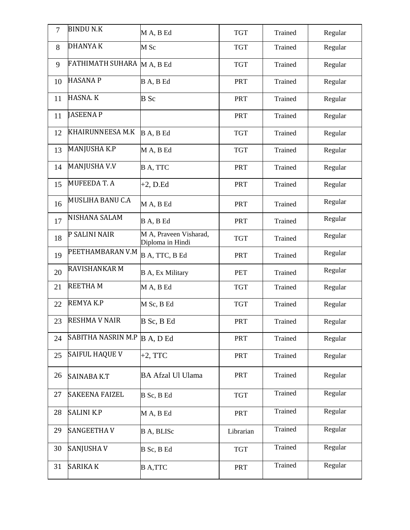| $\overline{7}$ | <b>BINDU N.K</b>           | MA, BEd                                    | <b>TGT</b> | Trained | Regular |
|----------------|----------------------------|--------------------------------------------|------------|---------|---------|
| 8              | <b>DHANYAK</b>             | M Sc                                       | <b>TGT</b> | Trained | Regular |
| 9              | FATHIMATH SUHARA M A, B Ed |                                            | <b>TGT</b> | Trained | Regular |
| 10             | <b>HASANAP</b>             | B A, B Ed                                  | <b>PRT</b> | Trained | Regular |
| 11             | HASNA. K                   | <b>B</b> Sc                                | <b>PRT</b> | Trained | Regular |
| 11             | <b>JASEENAP</b>            |                                            | <b>PRT</b> | Trained | Regular |
| 12             | KHAIRUNNEESA M.K           | B A, B Ed                                  | <b>TGT</b> | Trained | Regular |
| 13             | MANJUSHA K.P               | MA, BEd                                    | <b>TGT</b> | Trained | Regular |
| 14             | MANJUSHA V.V               | B A, TTC                                   | <b>PRT</b> | Trained | Regular |
| 15             | <b>MUFEEDAT.A</b>          | $+2$ , D.Ed                                | <b>PRT</b> | Trained | Regular |
| 16             | MUSLIHA BANU C.A           | MA, BEd                                    | <b>PRT</b> | Trained | Regular |
| 17             | <b>NISHANA SALAM</b>       | B A, B Ed                                  | <b>PRT</b> | Trained | Regular |
| 18             | P SALINI NAIR              | M A, Praveen Visharad,<br>Diploma in Hindi | <b>TGT</b> | Trained | Regular |
| 19             | PEETHAMBARAN V.M           | B A, TTC, B Ed                             | <b>PRT</b> | Trained | Regular |
| 20             | <b>RAVISHANKAR M</b>       | <b>B</b> A, Ex Military                    | <b>PET</b> | Trained | Regular |
| 21             | <b>REETHAM</b>             | M A, B Ed                                  | <b>TGT</b> | Trained | Regular |
| 22             | REMYAK.P                   | M Sc, B Ed                                 | <b>TGT</b> | Trained | Regular |
| 23             | <b>RESHMA V NAIR</b>       | B Sc, B Ed                                 | <b>PRT</b> | Trained | Regular |
| 24             | SABITHA NASRIN M.P         | B A, D Ed                                  | <b>PRT</b> | Trained | Regular |
| 25             | <b>SAIFUL HAQUE V</b>      | $+2$ , TTC                                 | <b>PRT</b> | Trained | Regular |
| 26             | <b>SAINABA K.T</b>         | <b>BA Afzal Ul Ulama</b>                   | <b>PRT</b> | Trained | Regular |
| 27             | <b>SAKEENA FAIZEL</b>      | B Sc, B Ed                                 | <b>TGT</b> | Trained | Regular |
| 28             | <b>SALINI K.P</b>          | MA, BEd                                    | <b>PRT</b> | Trained | Regular |
| 29             | <b>SANGEETHAV</b>          | B A, BLISc                                 | Librarian  | Trained | Regular |
| 30             | <b>SANJUSHAV</b>           | B Sc, B Ed                                 | <b>TGT</b> | Trained | Regular |
| 31             | <b>SARIKA K</b>            | <b>B</b> A,TTC                             | <b>PRT</b> | Trained | Regular |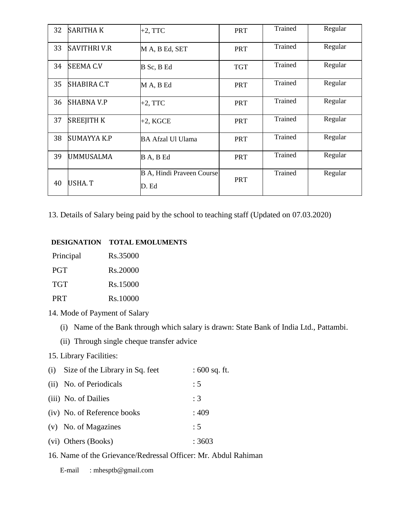| 32 | <b>SARITHAK</b>     | $+2$ , TTC                                | <b>PRT</b> | Trained | Regular |
|----|---------------------|-------------------------------------------|------------|---------|---------|
| 33 | <b>SAVITHRI V.R</b> | M A, B Ed, SET                            | <b>PRT</b> | Trained | Regular |
| 34 | SEEMA C.V           | B Sc, B Ed                                | <b>TGT</b> | Trained | Regular |
| 35 | SHABIRA C.T         | M A, B Ed                                 | <b>PRT</b> | Trained | Regular |
| 36 | <b>SHABNA V.P</b>   | $+2$ , TTC                                | <b>PRT</b> | Trained | Regular |
| 37 | SREEJITH K          | $+2$ , KGCE                               | <b>PRT</b> | Trained | Regular |
| 38 | <b>SUMAYYA K.P</b>  | <b>BA Afzal Ul Ulama</b>                  | <b>PRT</b> | Trained | Regular |
| 39 | UMMUSALMA           | B A, B Ed                                 | <b>PRT</b> | Trained | Regular |
| 40 | USHA. T             | <b>B A, Hindi Praveen Course</b><br>D. Ed | <b>PRT</b> | Trained | Regular |

13. Details of Salary being paid by the school to teaching staff (Updated on 07.03.2020)

#### **DESIGNATION TOTAL EMOLUMENTS**

| Principal  | Rs.35000 |
|------------|----------|
| <b>PGT</b> | Rs.20000 |
| TGT        | Rs.15000 |
| <b>PRT</b> | Rs.10000 |

- 14. Mode of Payment of Salary
	- (i) Name of the Bank through which salary is drawn: State Bank of India Ltd., Pattambi.
	- (ii) Through single cheque transfer advice

### 15. Library Facilities:

| (i) Size of the Library in Sq. feet | $: 600$ sq. ft. |
|-------------------------------------|-----------------|
| (ii) No. of Periodicals             | : 5             |
| (iii) No. of Dailies                | :3              |
| (iv) No. of Reference books         | :409            |
| (v) No. of Magazines                | : 5             |
| (vi) Others (Books)                 | : 3603          |

## 16. Name of the Grievance/Redressal Officer: Mr. Abdul Rahiman

E-mail : mhesptb@gmail.com